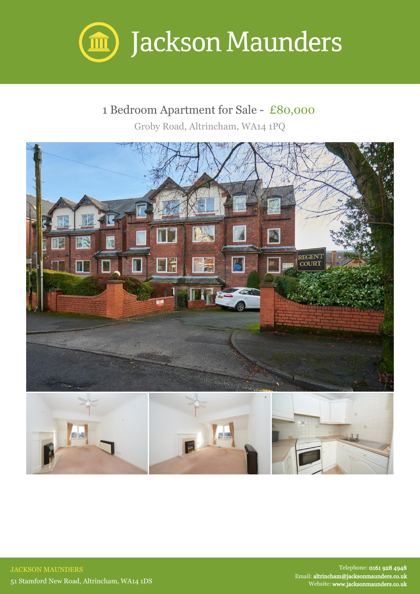

## 1 Bedroom Apartment for Sale - £80,000

Groby Road, Altrincham, WA14 1PQ